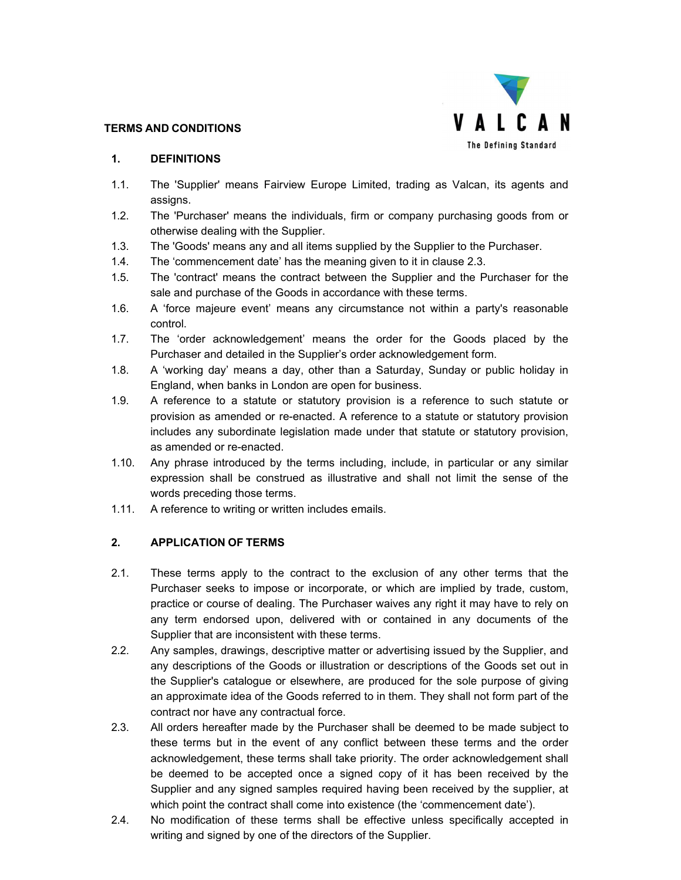

#### **TERMS AND CONDITIONS**

#### **1. DEFINITIONS**

- 1.1. The 'Supplier' means Fairview Europe Limited, trading as Valcan, its agents and assigns.
- 1.2. The 'Purchaser' means the individuals, firm or company purchasing goods from or otherwise dealing with the Supplier.
- 1.3. The 'Goods' means any and all items supplied by the Supplier to the Purchaser.
- 1.4. The 'commencement date' has the meaning given to it in clause 2.3.
- 1.5. The 'contract' means the contract between the Supplier and the Purchaser for the sale and purchase of the Goods in accordance with these terms.
- 1.6. A 'force majeure event' means any circumstance not within a party's reasonable control.
- 1.7. The 'order acknowledgement' means the order for the Goods placed by the Purchaser and detailed in the Supplier's order acknowledgement form.
- 1.8. A 'working day' means a day, other than a Saturday, Sunday or public holiday in England, when banks in London are open for business.
- 1.9. A reference to a statute or statutory provision is a reference to such statute or provision as amended or re-enacted. A reference to a statute or statutory provision includes any subordinate legislation made under that statute or statutory provision, as amended or re-enacted.
- 1.10. Any phrase introduced by the terms including, include, in particular or any similar expression shall be construed as illustrative and shall not limit the sense of the words preceding those terms.
- 1.11. A reference to writing or written includes emails.

### **2. APPLICATION OF TERMS**

- 2.1. These terms apply to the contract to the exclusion of any other terms that the Purchaser seeks to impose or incorporate, or which are implied by trade, custom, practice or course of dealing. The Purchaser waives any right it may have to rely on any term endorsed upon, delivered with or contained in any documents of the Supplier that are inconsistent with these terms.
- 2.2. Any samples, drawings, descriptive matter or advertising issued by the Supplier, and any descriptions of the Goods or illustration or descriptions of the Goods set out in the Supplier's catalogue or elsewhere, are produced for the sole purpose of giving an approximate idea of the Goods referred to in them. They shall not form part of the contract nor have any contractual force.
- 2.3. All orders hereafter made by the Purchaser shall be deemed to be made subject to these terms but in the event of any conflict between these terms and the order acknowledgement, these terms shall take priority. The order acknowledgement shall be deemed to be accepted once a signed copy of it has been received by the Supplier and any signed samples required having been received by the supplier, at which point the contract shall come into existence (the 'commencement date').
- 2.4. No modification of these terms shall be effective unless specifically accepted in writing and signed by one of the directors of the Supplier.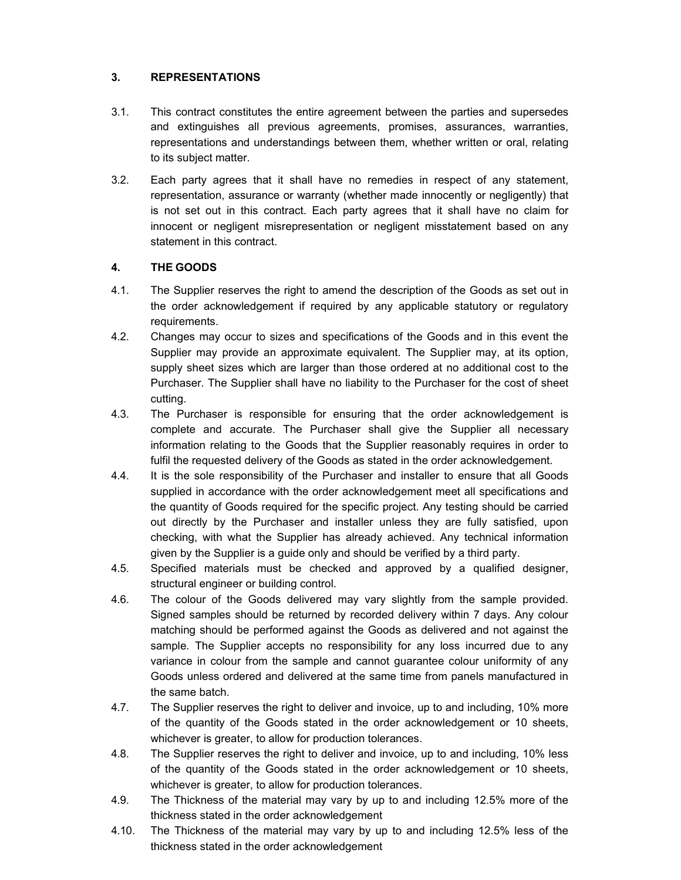# **3. REPRESENTATIONS**

- 3.1. This contract constitutes the entire agreement between the parties and supersedes and extinguishes all previous agreements, promises, assurances, warranties, representations and understandings between them, whether written or oral, relating to its subject matter.
- 3.2. Each party agrees that it shall have no remedies in respect of any statement, representation, assurance or warranty (whether made innocently or negligently) that is not set out in this contract. Each party agrees that it shall have no claim for innocent or negligent misrepresentation or negligent misstatement based on any statement in this contract.

# **4. THE GOODS**

- 4.1. The Supplier reserves the right to amend the description of the Goods as set out in the order acknowledgement if required by any applicable statutory or regulatory requirements.
- 4.2. Changes may occur to sizes and specifications of the Goods and in this event the Supplier may provide an approximate equivalent. The Supplier may, at its option, supply sheet sizes which are larger than those ordered at no additional cost to the Purchaser. The Supplier shall have no liability to the Purchaser for the cost of sheet cutting.
- 4.3. The Purchaser is responsible for ensuring that the order acknowledgement is complete and accurate. The Purchaser shall give the Supplier all necessary information relating to the Goods that the Supplier reasonably requires in order to fulfil the requested delivery of the Goods as stated in the order acknowledgement.
- 4.4. It is the sole responsibility of the Purchaser and installer to ensure that all Goods supplied in accordance with the order acknowledgement meet all specifications and the quantity of Goods required for the specific project. Any testing should be carried out directly by the Purchaser and installer unless they are fully satisfied, upon checking, with what the Supplier has already achieved. Any technical information given by the Supplier is a guide only and should be verified by a third party.
- 4.5. Specified materials must be checked and approved by a qualified designer, structural engineer or building control.
- 4.6. The colour of the Goods delivered may vary slightly from the sample provided. Signed samples should be returned by recorded delivery within 7 days. Any colour matching should be performed against the Goods as delivered and not against the sample. The Supplier accepts no responsibility for any loss incurred due to any variance in colour from the sample and cannot guarantee colour uniformity of any Goods unless ordered and delivered at the same time from panels manufactured in the same batch.
- 4.7. The Supplier reserves the right to deliver and invoice, up to and including, 10% more of the quantity of the Goods stated in the order acknowledgement or 10 sheets, whichever is greater, to allow for production tolerances.
- 4.8. The Supplier reserves the right to deliver and invoice, up to and including, 10% less of the quantity of the Goods stated in the order acknowledgement or 10 sheets, whichever is greater, to allow for production tolerances.
- 4.9. The Thickness of the material may vary by up to and including 12.5% more of the thickness stated in the order acknowledgement
- 4.10. The Thickness of the material may vary by up to and including 12.5% less of the thickness stated in the order acknowledgement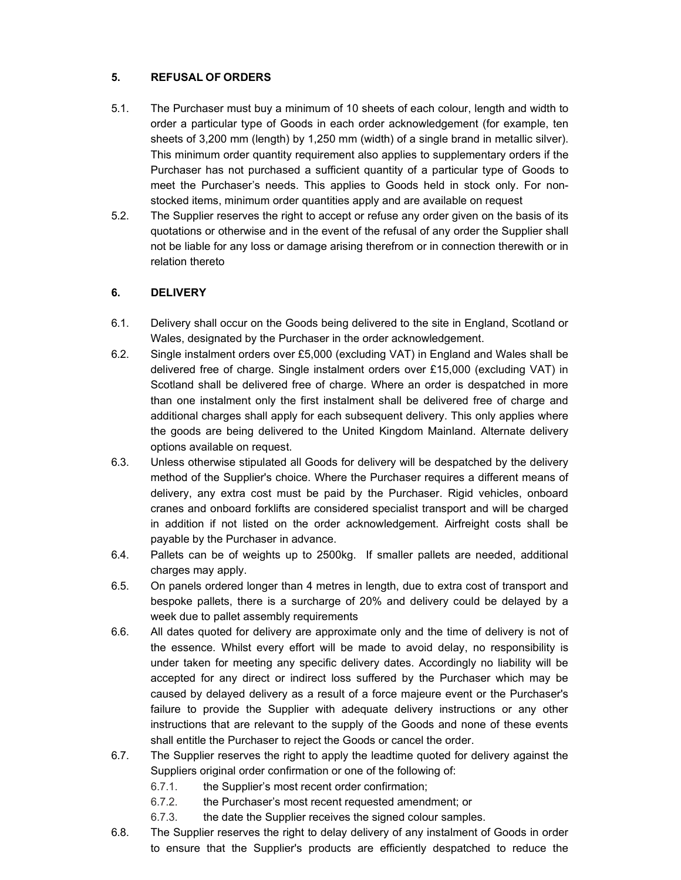# **5. REFUSAL OF ORDERS**

- 5.1. The Purchaser must buy a minimum of 10 sheets of each colour, length and width to order a particular type of Goods in each order acknowledgement (for example, ten sheets of 3,200 mm (length) by 1,250 mm (width) of a single brand in metallic silver). This minimum order quantity requirement also applies to supplementary orders if the Purchaser has not purchased a sufficient quantity of a particular type of Goods to meet the Purchaser's needs. This applies to Goods held in stock only. For nonstocked items, minimum order quantities apply and are available on request
- 5.2. The Supplier reserves the right to accept or refuse any order given on the basis of its quotations or otherwise and in the event of the refusal of any order the Supplier shall not be liable for any loss or damage arising therefrom or in connection therewith or in relation thereto

# **6. DELIVERY**

- 6.1. Delivery shall occur on the Goods being delivered to the site in England, Scotland or Wales, designated by the Purchaser in the order acknowledgement.
- 6.2. Single instalment orders over £5,000 (excluding VAT) in England and Wales shall be delivered free of charge. Single instalment orders over £15,000 (excluding VAT) in Scotland shall be delivered free of charge. Where an order is despatched in more than one instalment only the first instalment shall be delivered free of charge and additional charges shall apply for each subsequent delivery. This only applies where the goods are being delivered to the United Kingdom Mainland. Alternate delivery options available on request.
- 6.3. Unless otherwise stipulated all Goods for delivery will be despatched by the delivery method of the Supplier's choice. Where the Purchaser requires a different means of delivery, any extra cost must be paid by the Purchaser. Rigid vehicles, onboard cranes and onboard forklifts are considered specialist transport and will be charged in addition if not listed on the order acknowledgement. Airfreight costs shall be payable by the Purchaser in advance.
- 6.4. Pallets can be of weights up to 2500kg. If smaller pallets are needed, additional charges may apply.
- 6.5. On panels ordered longer than 4 metres in length, due to extra cost of transport and bespoke pallets, there is a surcharge of 20% and delivery could be delayed by a week due to pallet assembly requirements
- 6.6. All dates quoted for delivery are approximate only and the time of delivery is not of the essence. Whilst every effort will be made to avoid delay, no responsibility is under taken for meeting any specific delivery dates. Accordingly no liability will be accepted for any direct or indirect loss suffered by the Purchaser which may be caused by delayed delivery as a result of a force majeure event or the Purchaser's failure to provide the Supplier with adequate delivery instructions or any other instructions that are relevant to the supply of the Goods and none of these events shall entitle the Purchaser to reject the Goods or cancel the order.
- 6.7. The Supplier reserves the right to apply the leadtime quoted for delivery against the Suppliers original order confirmation or one of the following of:
	- 6.7.1. the Supplier's most recent order confirmation;
	- 6.7.2. the Purchaser's most recent requested amendment; or
	- 6.7.3. the date the Supplier receives the signed colour samples.
- 6.8. The Supplier reserves the right to delay delivery of any instalment of Goods in order to ensure that the Supplier's products are efficiently despatched to reduce the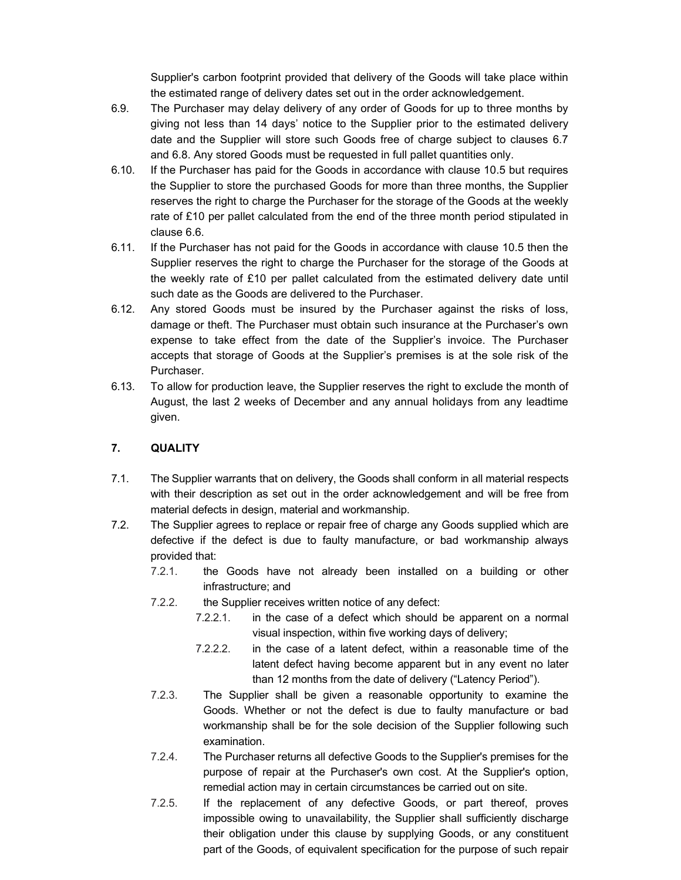Supplier's carbon footprint provided that delivery of the Goods will take place within the estimated range of delivery dates set out in the order acknowledgement.

- 6.9. The Purchaser may delay delivery of any order of Goods for up to three months by giving not less than 14 days' notice to the Supplier prior to the estimated delivery date and the Supplier will store such Goods free of charge subject to clauses 6.7 and 6.8. Any stored Goods must be requested in full pallet quantities only.
- 6.10. If the Purchaser has paid for the Goods in accordance with clause 10.5 but requires the Supplier to store the purchased Goods for more than three months, the Supplier reserves the right to charge the Purchaser for the storage of the Goods at the weekly rate of £10 per pallet calculated from the end of the three month period stipulated in clause 6.6.
- 6.11. If the Purchaser has not paid for the Goods in accordance with clause 10.5 then the Supplier reserves the right to charge the Purchaser for the storage of the Goods at the weekly rate of £10 per pallet calculated from the estimated delivery date until such date as the Goods are delivered to the Purchaser.
- 6.12. Any stored Goods must be insured by the Purchaser against the risks of loss, damage or theft. The Purchaser must obtain such insurance at the Purchaser's own expense to take effect from the date of the Supplier's invoice. The Purchaser accepts that storage of Goods at the Supplier's premises is at the sole risk of the Purchaser.
- 6.13. To allow for production leave, the Supplier reserves the right to exclude the month of August, the last 2 weeks of December and any annual holidays from any leadtime given.

### **7. QUALITY**

- 7.1. The Supplier warrants that on delivery, the Goods shall conform in all material respects with their description as set out in the order acknowledgement and will be free from material defects in design, material and workmanship.
- 7.2. The Supplier agrees to replace or repair free of charge any Goods supplied which are defective if the defect is due to faulty manufacture, or bad workmanship always provided that:
	- 7.2.1. the Goods have not already been installed on a building or other infrastructure; and
	- 7.2.2. the Supplier receives written notice of any defect:
		- 7.2.2.1. in the case of a defect which should be apparent on a normal visual inspection, within five working days of delivery;
		- 7.2.2.2. in the case of a latent defect, within a reasonable time of the latent defect having become apparent but in any event no later than 12 months from the date of delivery ("Latency Period").
	- 7.2.3. The Supplier shall be given a reasonable opportunity to examine the Goods. Whether or not the defect is due to faulty manufacture or bad workmanship shall be for the sole decision of the Supplier following such examination.
	- 7.2.4. The Purchaser returns all defective Goods to the Supplier's premises for the purpose of repair at the Purchaser's own cost. At the Supplier's option, remedial action may in certain circumstances be carried out on site.
	- 7.2.5. If the replacement of any defective Goods, or part thereof, proves impossible owing to unavailability, the Supplier shall sufficiently discharge their obligation under this clause by supplying Goods, or any constituent part of the Goods, of equivalent specification for the purpose of such repair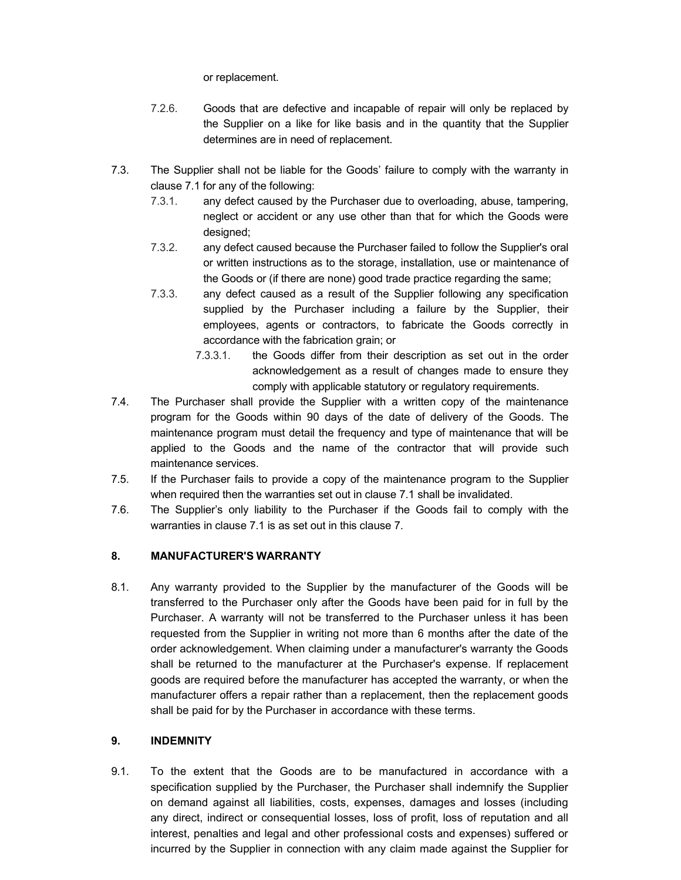or replacement.

- 7.2.6. Goods that are defective and incapable of repair will only be replaced by the Supplier on a like for like basis and in the quantity that the Supplier determines are in need of replacement.
- 7.3. The Supplier shall not be liable for the Goods' failure to comply with the warranty in clause 7.1 for any of the following:
	- 7.3.1. any defect caused by the Purchaser due to overloading, abuse, tampering, neglect or accident or any use other than that for which the Goods were designed;
	- 7.3.2. any defect caused because the Purchaser failed to follow the Supplier's oral or written instructions as to the storage, installation, use or maintenance of the Goods or (if there are none) good trade practice regarding the same;
	- 7.3.3. any defect caused as a result of the Supplier following any specification supplied by the Purchaser including a failure by the Supplier, their employees, agents or contractors, to fabricate the Goods correctly in accordance with the fabrication grain; or
		- 7.3.3.1. the Goods differ from their description as set out in the order acknowledgement as a result of changes made to ensure they comply with applicable statutory or regulatory requirements.
- 7.4. The Purchaser shall provide the Supplier with a written copy of the maintenance program for the Goods within 90 days of the date of delivery of the Goods. The maintenance program must detail the frequency and type of maintenance that will be applied to the Goods and the name of the contractor that will provide such maintenance services.
- 7.5. If the Purchaser fails to provide a copy of the maintenance program to the Supplier when required then the warranties set out in clause 7.1 shall be invalidated.
- 7.6. The Supplier's only liability to the Purchaser if the Goods fail to comply with the warranties in clause 7.1 is as set out in this clause 7.

### **8. MANUFACTURER'S WARRANTY**

8.1. Any warranty provided to the Supplier by the manufacturer of the Goods will be transferred to the Purchaser only after the Goods have been paid for in full by the Purchaser. A warranty will not be transferred to the Purchaser unless it has been requested from the Supplier in writing not more than 6 months after the date of the order acknowledgement. When claiming under a manufacturer's warranty the Goods shall be returned to the manufacturer at the Purchaser's expense. If replacement goods are required before the manufacturer has accepted the warranty, or when the manufacturer offers a repair rather than a replacement, then the replacement goods shall be paid for by the Purchaser in accordance with these terms.

### **9. INDEMNITY**

9.1. To the extent that the Goods are to be manufactured in accordance with a specification supplied by the Purchaser, the Purchaser shall indemnify the Supplier on demand against all liabilities, costs, expenses, damages and losses (including any direct, indirect or consequential losses, loss of profit, loss of reputation and all interest, penalties and legal and other professional costs and expenses) suffered or incurred by the Supplier in connection with any claim made against the Supplier for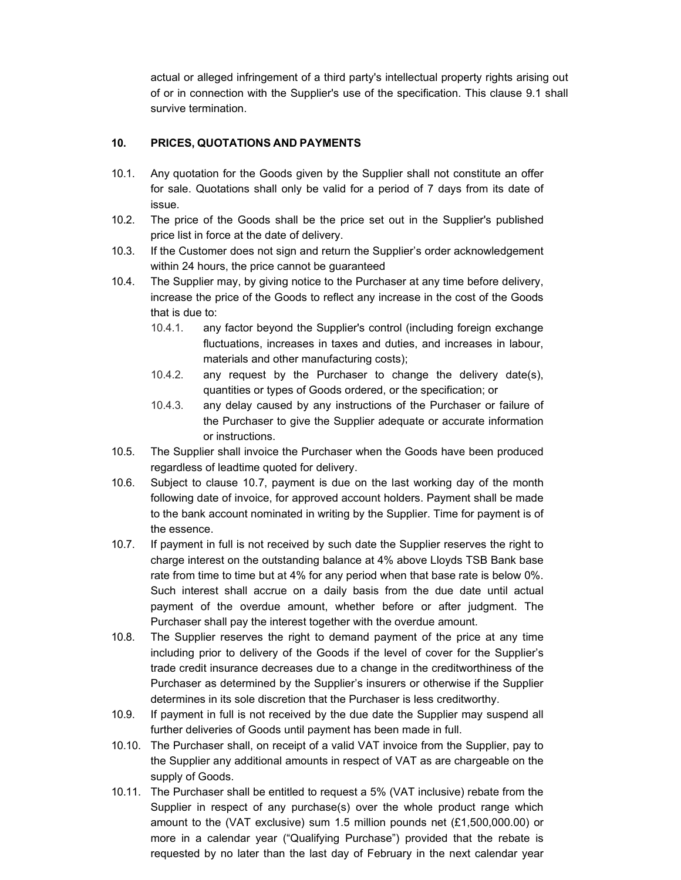actual or alleged infringement of a third party's intellectual property rights arising out of or in connection with the Supplier's use of the specification. This clause 9.1 shall survive termination.

# **10. PRICES, QUOTATIONS AND PAYMENTS**

- 10.1. Any quotation for the Goods given by the Supplier shall not constitute an offer for sale. Quotations shall only be valid for a period of 7 days from its date of issue.
- 10.2. The price of the Goods shall be the price set out in the Supplier's published price list in force at the date of delivery.
- 10.3. If the Customer does not sign and return the Supplier's order acknowledgement within 24 hours, the price cannot be guaranteed
- 10.4. The Supplier may, by giving notice to the Purchaser at any time before delivery, increase the price of the Goods to reflect any increase in the cost of the Goods that is due to:
	- 10.4.1. any factor beyond the Supplier's control (including foreign exchange fluctuations, increases in taxes and duties, and increases in labour, materials and other manufacturing costs);
	- 10.4.2. any request by the Purchaser to change the delivery date(s), quantities or types of Goods ordered, or the specification; or
	- 10.4.3. any delay caused by any instructions of the Purchaser or failure of the Purchaser to give the Supplier adequate or accurate information or instructions.
- 10.5. The Supplier shall invoice the Purchaser when the Goods have been produced regardless of leadtime quoted for delivery.
- 10.6. Subject to clause 10.7, payment is due on the last working day of the month following date of invoice, for approved account holders. Payment shall be made to the bank account nominated in writing by the Supplier. Time for payment is of the essence.
- 10.7. If payment in full is not received by such date the Supplier reserves the right to charge interest on the outstanding balance at 4% above Lloyds TSB Bank base rate from time to time but at 4% for any period when that base rate is below 0%. Such interest shall accrue on a daily basis from the due date until actual payment of the overdue amount, whether before or after judgment. The Purchaser shall pay the interest together with the overdue amount.
- 10.8. The Supplier reserves the right to demand payment of the price at any time including prior to delivery of the Goods if the level of cover for the Supplier's trade credit insurance decreases due to a change in the creditworthiness of the Purchaser as determined by the Supplier's insurers or otherwise if the Supplier determines in its sole discretion that the Purchaser is less creditworthy.
- 10.9. If payment in full is not received by the due date the Supplier may suspend all further deliveries of Goods until payment has been made in full.
- 10.10. The Purchaser shall, on receipt of a valid VAT invoice from the Supplier, pay to the Supplier any additional amounts in respect of VAT as are chargeable on the supply of Goods.
- 10.11. The Purchaser shall be entitled to request a 5% (VAT inclusive) rebate from the Supplier in respect of any purchase(s) over the whole product range which amount to the (VAT exclusive) sum 1.5 million pounds net (£1,500,000.00) or more in a calendar year ("Qualifying Purchase") provided that the rebate is requested by no later than the last day of February in the next calendar year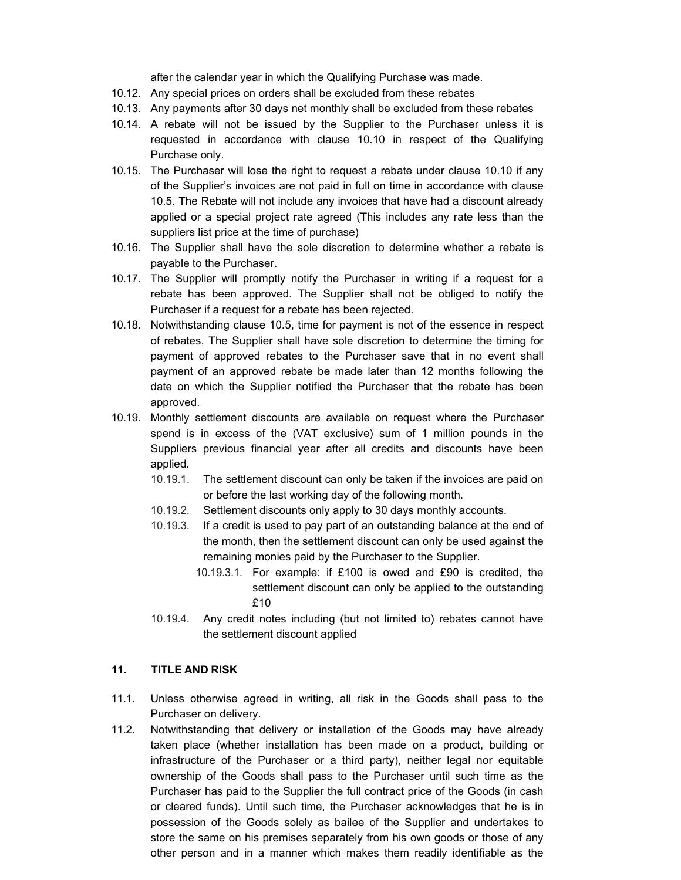after the calendar year in which the Qualifying Purchase was made.

- 10.12. Any special prices on orders shall be excluded from these rebates
- 10.13. Any payments after 30 days net monthly shall be excluded from these rebates
- 10.14. A rebate will not be issued by the Supplier to the Purchaser unless it is requested in accordance with clause 10.10 in respect of the Qualifying Purchase only.
- 10.15. The Purchaser will lose the right to request a rebate under clause 10.10 if any of the Supplier's invoices are not paid in full on time in accordance with clause 10.5. The Rebate will not include any invoices that have had a discount already applied or a special project rate agreed (This includes any rate less than the suppliers list price at the time of purchase)
- 10.16. The Supplier shall have the sole discretion to determine whether a rebate is payable to the Purchaser.
- 10.17. The Supplier will promptly notify the Purchaser in writing if a request for a rebate has been approved. The Supplier shall not be obliged to notify the Purchaser if a request for a rebate has been rejected.
- 10.18. Notwithstanding clause 10.5, time for payment is not of the essence in respect of rebates. The Supplier shall have sole discretion to determine the timing for payment of approved rebates to the Purchaser save that in no event shall payment of an approved rebate be made later than 12 months following the date on which the Supplier notified the Purchaser that the rebate has been approved.
- 10.19. Monthly settlement discounts are available on request where the Purchaser spend is in excess of the (VAT exclusive) sum of 1 million pounds in the Suppliers previous financial year after all credits and discounts have been applied.
	- 10.19.1. The settlement discount can only be taken if the invoices are paid on or before the last working day of the following month.
	- 10.19.2. Settlement discounts only apply to 30 days monthly accounts.
	- 10.19.3. If a credit is used to pay part of an outstanding balance at the end of the month, then the settlement discount can only be used against the remaining monies paid by the Purchaser to the Supplier.
		- 10.19.3.1. For example: if £100 is owed and £90 is credited, the settlement discount can only be applied to the outstanding £10
	- 10.19.4. Any credit notes including (but not limited to) rebates cannot have the settlement discount applied

#### **11. TITLE AND RISK**

- 11.1. Unless otherwise agreed in writing, all risk in the Goods shall pass to the Purchaser on delivery.
- 11.2. Notwithstanding that delivery or installation of the Goods may have already taken place (whether installation has been made on a product, building or infrastructure of the Purchaser or a third party), neither legal nor equitable ownership of the Goods shall pass to the Purchaser until such time as the Purchaser has paid to the Supplier the full contract price of the Goods (in cash or cleared funds). Until such time, the Purchaser acknowledges that he is in possession of the Goods solely as bailee of the Supplier and undertakes to store the same on his premises separately from his own goods or those of any other person and in a manner which makes them readily identifiable as the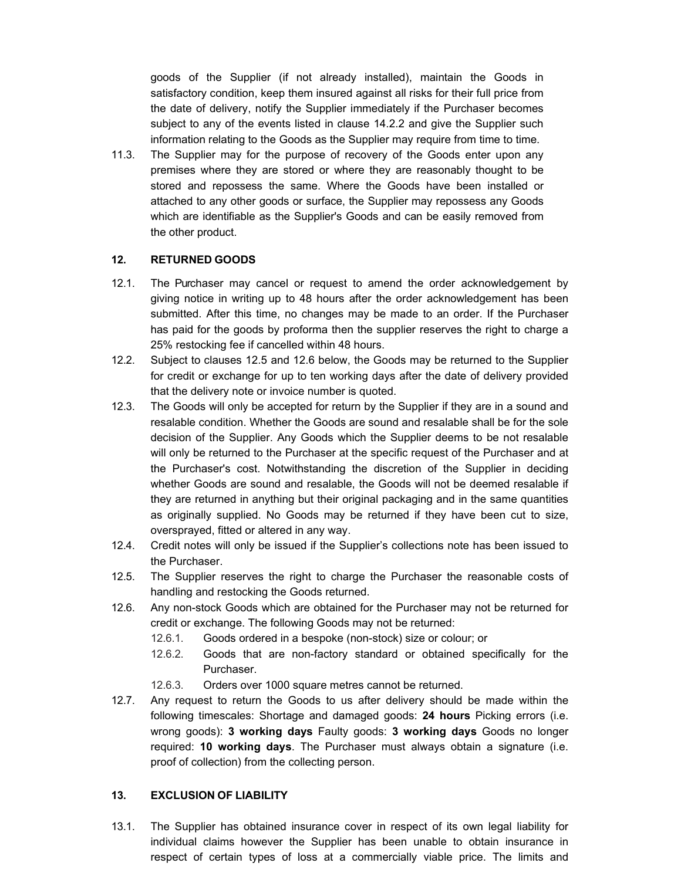goods of the Supplier (if not already installed), maintain the Goods in satisfactory condition, keep them insured against all risks for their full price from the date of delivery, notify the Supplier immediately if the Purchaser becomes subject to any of the events listed in clause 14.2.2 and give the Supplier such information relating to the Goods as the Supplier may require from time to time.

11.3. The Supplier may for the purpose of recovery of the Goods enter upon any premises where they are stored or where they are reasonably thought to be stored and repossess the same. Where the Goods have been installed or attached to any other goods or surface, the Supplier may repossess any Goods which are identifiable as the Supplier's Goods and can be easily removed from the other product.

#### **12. RETURNED GOODS**

- 12.1. The Purchaser may cancel or request to amend the order acknowledgement by giving notice in writing up to 48 hours after the order acknowledgement has been submitted. After this time, no changes may be made to an order. If the Purchaser has paid for the goods by proforma then the supplier reserves the right to charge a 25% restocking fee if cancelled within 48 hours.
- 12.2. Subject to clauses 12.5 and 12.6 below, the Goods may be returned to the Supplier for credit or exchange for up to ten working days after the date of delivery provided that the delivery note or invoice number is quoted.
- 12.3. The Goods will only be accepted for return by the Supplier if they are in a sound and resalable condition. Whether the Goods are sound and resalable shall be for the sole decision of the Supplier. Any Goods which the Supplier deems to be not resalable will only be returned to the Purchaser at the specific request of the Purchaser and at the Purchaser's cost. Notwithstanding the discretion of the Supplier in deciding whether Goods are sound and resalable, the Goods will not be deemed resalable if they are returned in anything but their original packaging and in the same quantities as originally supplied. No Goods may be returned if they have been cut to size, oversprayed, fitted or altered in any way.
- 12.4. Credit notes will only be issued if the Supplier's collections note has been issued to the Purchaser.
- 12.5. The Supplier reserves the right to charge the Purchaser the reasonable costs of handling and restocking the Goods returned.
- 12.6. Any non-stock Goods which are obtained for the Purchaser may not be returned for credit or exchange. The following Goods may not be returned:
	- 12.6.1. Goods ordered in a bespoke (non-stock) size or colour; or
	- 12.6.2. Goods that are non-factory standard or obtained specifically for the Purchaser.
	- 12.6.3. Orders over 1000 square metres cannot be returned.
- 12.7. Any request to return the Goods to us after delivery should be made within the following timescales: Shortage and damaged goods: **24 hours** Picking errors (i.e. wrong goods): **3 working days** Faulty goods: **3 working days** Goods no longer required: **10 working days**. The Purchaser must always obtain a signature (i.e. proof of collection) from the collecting person.

#### **13. EXCLUSION OF LIABILITY**

13.1. The Supplier has obtained insurance cover in respect of its own legal liability for individual claims however the Supplier has been unable to obtain insurance in respect of certain types of loss at a commercially viable price. The limits and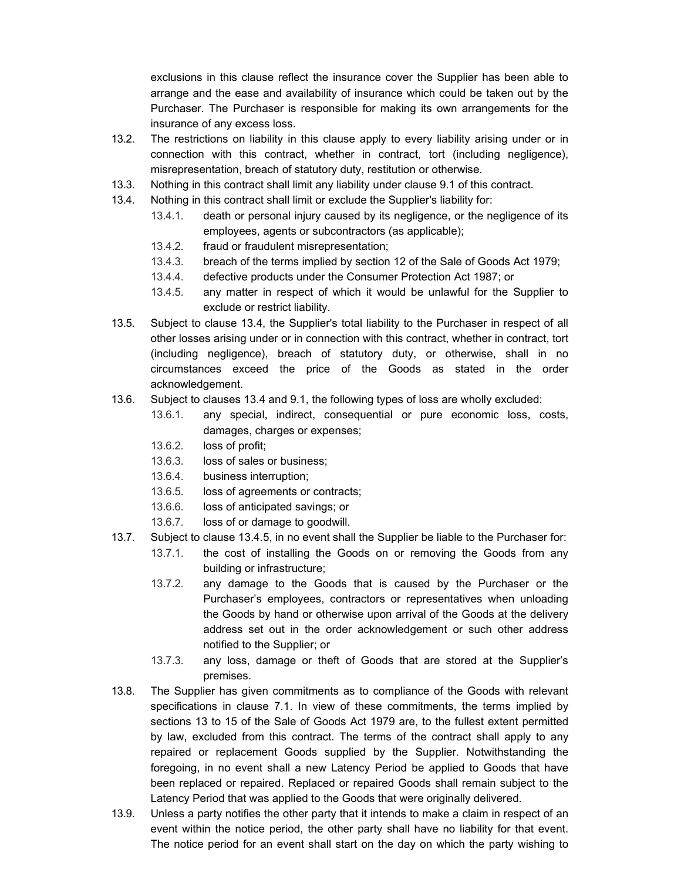exclusions in this clause reflect the insurance cover the Supplier has been able to arrange and the ease and availability of insurance which could be taken out by the Purchaser. The Purchaser is responsible for making its own arrangements for the insurance of any excess loss.

- 13.2. The restrictions on liability in this clause apply to every liability arising under or in connection with this contract, whether in contract, tort (including negligence), misrepresentation, breach of statutory duty, restitution or otherwise.
- 13.3. Nothing in this contract shall limit any liability under clause 9.1 of this contract.
- 13.4. Nothing in this contract shall limit or exclude the Supplier's liability for:
	- 13.4.1. death or personal injury caused by its negligence, or the negligence of its employees, agents or subcontractors (as applicable);
	- 13.4.2. fraud or fraudulent misrepresentation;
	- 13.4.3. breach of the terms implied by section 12 of the Sale of Goods Act 1979;
	- 13.4.4. defective products under the Consumer Protection Act 1987; or
	- 13.4.5. any matter in respect of which it would be unlawful for the Supplier to exclude or restrict liability.
- 13.5. Subject to clause 13.4, the Supplier's total liability to the Purchaser in respect of all other losses arising under or in connection with this contract, whether in contract, tort (including negligence), breach of statutory duty, or otherwise, shall in no circumstances exceed the price of the Goods as stated in the order acknowledgement.
- 13.6. Subject to clauses 13.4 and 9.1, the following types of loss are wholly excluded:
	- 13.6.1. any special, indirect, consequential or pure economic loss, costs, damages, charges or expenses;
	- 13.6.2. loss of profit;
	- 13.6.3. loss of sales or business;
	- 13.6.4. business interruption;
	- 13.6.5. loss of agreements or contracts;
	- 13.6.6. loss of anticipated savings; or
	- 13.6.7. loss of or damage to goodwill.
- 13.7. Subject to clause 13.4.5, in no event shall the Supplier be liable to the Purchaser for:
	- 13.7.1. the cost of installing the Goods on or removing the Goods from any building or infrastructure;
	- 13.7.2. any damage to the Goods that is caused by the Purchaser or the Purchaser's employees, contractors or representatives when unloading the Goods by hand or otherwise upon arrival of the Goods at the delivery address set out in the order acknowledgement or such other address notified to the Supplier; or
	- 13.7.3. any loss, damage or theft of Goods that are stored at the Supplier's premises.
- 13.8. The Supplier has given commitments as to compliance of the Goods with relevant specifications in clause 7.1. In view of these commitments, the terms implied by sections 13 to 15 of the Sale of Goods Act 1979 are, to the fullest extent permitted by law, excluded from this contract. The terms of the contract shall apply to any repaired or replacement Goods supplied by the Supplier. Notwithstanding the foregoing, in no event shall a new Latency Period be applied to Goods that have been replaced or repaired. Replaced or repaired Goods shall remain subject to the Latency Period that was applied to the Goods that were originally delivered.
- 13.9. Unless a party notifies the other party that it intends to make a claim in respect of an event within the notice period, the other party shall have no liability for that event. The notice period for an event shall start on the day on which the party wishing to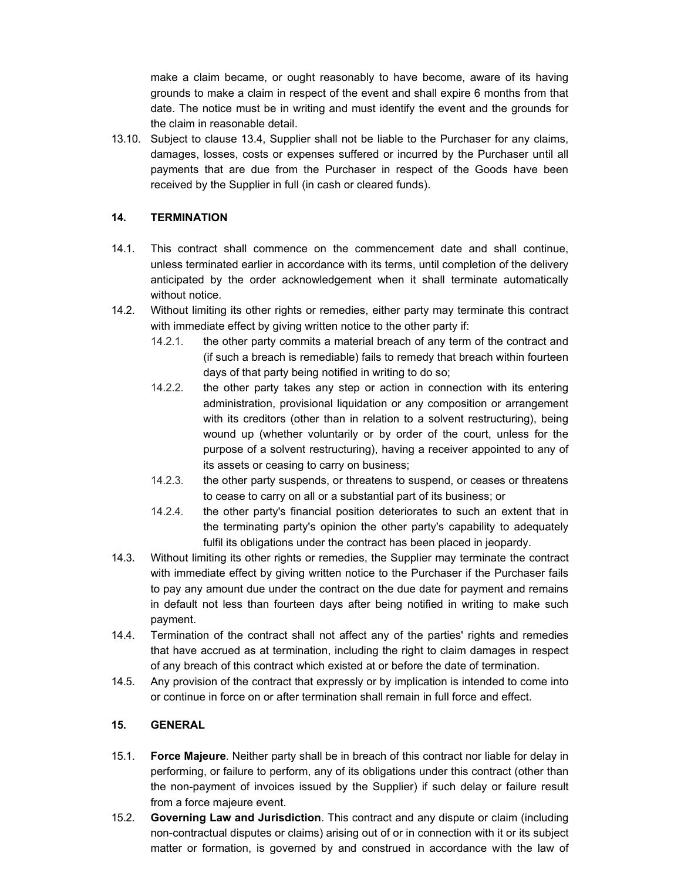make a claim became, or ought reasonably to have become, aware of its having grounds to make a claim in respect of the event and shall expire 6 months from that date. The notice must be in writing and must identify the event and the grounds for the claim in reasonable detail.

13.10. Subject to clause 13.4, Supplier shall not be liable to the Purchaser for any claims, damages, losses, costs or expenses suffered or incurred by the Purchaser until all payments that are due from the Purchaser in respect of the Goods have been received by the Supplier in full (in cash or cleared funds).

### **14. TERMINATION**

- 14.1. This contract shall commence on the commencement date and shall continue, unless terminated earlier in accordance with its terms, until completion of the delivery anticipated by the order acknowledgement when it shall terminate automatically without notice.
- 14.2. Without limiting its other rights or remedies, either party may terminate this contract with immediate effect by giving written notice to the other party if:
	- 14.2.1. the other party commits a material breach of any term of the contract and (if such a breach is remediable) fails to remedy that breach within fourteen days of that party being notified in writing to do so;
	- 14.2.2. the other party takes any step or action in connection with its entering administration, provisional liquidation or any composition or arrangement with its creditors (other than in relation to a solvent restructuring), being wound up (whether voluntarily or by order of the court, unless for the purpose of a solvent restructuring), having a receiver appointed to any of its assets or ceasing to carry on business;
	- 14.2.3. the other party suspends, or threatens to suspend, or ceases or threatens to cease to carry on all or a substantial part of its business; or
	- 14.2.4. the other party's financial position deteriorates to such an extent that in the terminating party's opinion the other party's capability to adequately fulfil its obligations under the contract has been placed in jeopardy.
- 14.3. Without limiting its other rights or remedies, the Supplier may terminate the contract with immediate effect by giving written notice to the Purchaser if the Purchaser fails to pay any amount due under the contract on the due date for payment and remains in default not less than fourteen days after being notified in writing to make such payment.
- 14.4. Termination of the contract shall not affect any of the parties' rights and remedies that have accrued as at termination, including the right to claim damages in respect of any breach of this contract which existed at or before the date of termination.
- 14.5. Any provision of the contract that expressly or by implication is intended to come into or continue in force on or after termination shall remain in full force and effect.

### **15. GENERAL**

- 15.1. **Force Majeure**. Neither party shall be in breach of this contract nor liable for delay in performing, or failure to perform, any of its obligations under this contract (other than the non-payment of invoices issued by the Supplier) if such delay or failure result from a force majeure event.
- 15.2. **Governing Law and Jurisdiction**. This contract and any dispute or claim (including non-contractual disputes or claims) arising out of or in connection with it or its subject matter or formation, is governed by and construed in accordance with the law of